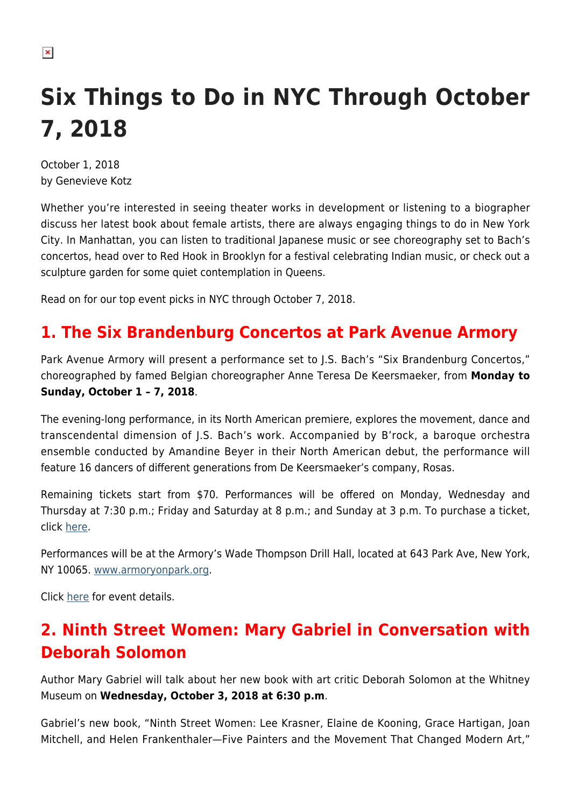# **Six Things to Do in NYC Through October 7, 2018**

October 1, 2018 by Genevieve Kotz

Whether you're interested in seeing theater works in development or listening to a biographer discuss her latest book about female artists, there are always engaging things to do in New York City. In Manhattan, you can listen to traditional Japanese music or see choreography set to Bach's concertos, head over to Red Hook in Brooklyn for a festival celebrating Indian music, or check out a sculpture garden for some quiet contemplation in Queens.

Read on for our top event picks in NYC through October 7, 2018.

# **1. The Six Brandenburg Concertos at Park Avenue Armory**

Park Avenue Armory will present a performance set to J.S. Bach's "Six Brandenburg Concertos," choreographed by famed Belgian choreographer Anne Teresa De Keersmaeker, from **Monday to Sunday, October 1 – 7, 2018**.

The evening-long performance, in its North American premiere, explores the movement, dance and transcendental dimension of J.S. Bach's work. Accompanied by B'rock, a baroque orchestra ensemble conducted by Amandine Beyer in their North American debut, the performance will feature 16 dancers of different generations from De Keersmaeker's company, Rosas.

Remaining tickets start from \$70. Performances will be offered on Monday, Wednesday and Thursday at 7:30 p.m.; Friday and Saturday at 8 p.m.; and Sunday at 3 p.m. To purchase a ticket, click [here](https://commerce.armoryonpark.org/single/PSDetail.aspx?psn=2249).

Performances will be at the Armory's Wade Thompson Drill Hall, located at 643 Park Ave, New York, NY 10065. [www.armoryonpark.org.](http://www.armoryonpark.org)

Click [here](http://armoryonpark.org/programs_events/detail/brandenburg?) for event details.

# **2. Ninth Street Women: Mary Gabriel in Conversation with Deborah Solomon**

Author Mary Gabriel will talk about her new book with art critic Deborah Solomon at the Whitney Museum on **Wednesday, October 3, 2018 at 6:30 p.m**.

Gabriel's new book, "Ninth Street Women: Lee Krasner, Elaine de Kooning, Grace Hartigan, Joan Mitchell, and Helen Frankenthaler—Five Painters and the Movement That Changed Modern Art,"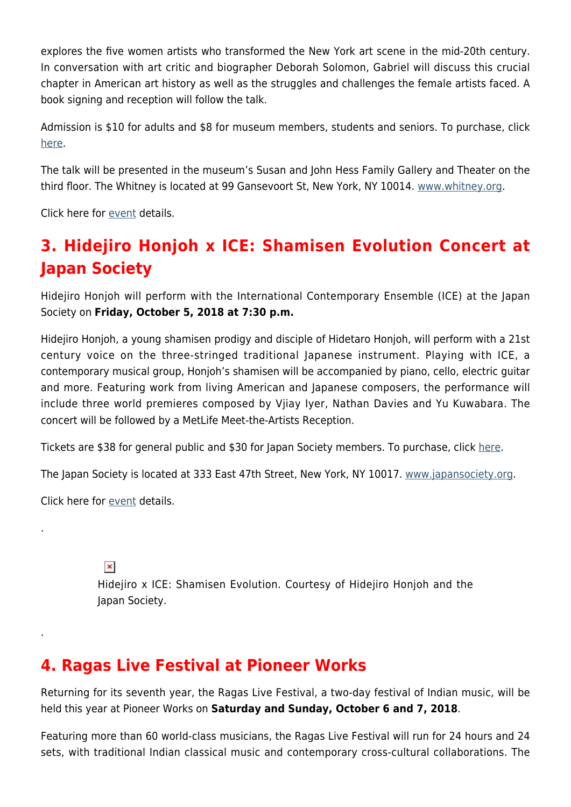explores the five women artists who transformed the New York art scene in the mid-20th century. In conversation with art critic and biographer Deborah Solomon, Gabriel will discuss this crucial chapter in American art history as well as the struggles and challenges the female artists faced. A book signing and reception will follow the talk.

Admission is \$10 for adults and \$8 for museum members, students and seniors. To purchase, click [here.](https://visit.whitney.org/tickets/ItemList.aspx?node_id=551016)

The talk will be presented in the museum's Susan and John Hess Family Gallery and Theater on the third floor. The Whitney is located at 99 Gansevoort St, New York, NY 10014. [www.whitney.org.](https://whitney.org/)

Click here for [event](https://whitney.org/events/mary-gabriel-conversation) details.

# **3. Hidejiro Honjoh x ICE: Shamisen Evolution Concert at Japan Society**

Hidejiro Honjoh will perform with the International Contemporary Ensemble (ICE) at the Japan Society on **Friday, October 5, 2018 at 7:30 p.m.**

Hidejiro Honjoh, a young shamisen prodigy and disciple of Hidetaro Honjoh, will perform with a 21st century voice on the three-stringed traditional Japanese instrument. Playing with ICE, a contemporary musical group, Honjoh's shamisen will be accompanied by piano, cello, electric guitar and more. Featuring work from living American and Japanese composers, the performance will include three world premieres composed by Vjiay Iyer, Nathan Davies and Yu Kuwabara. The concert will be followed by a MetLife Meet-the-Artists Reception.

Tickets are \$38 for general public and \$30 for Japan Society members. To purchase, click [here](https://tickets.japansociety.org/events/hidejiro%20x%20ice-%20shamisen%20evolution/2018-10-5_19.30/auditorium?_ga=2.213972308.2111315519.1538080279-865962860.1538080279).

The Japan Society is located at 333 East 47th Street, New York, NY 10017. [www.japansociety.org](https://www.japansociety.org/).

Click here for [event](https://www.japansociety.org/event/hidejiro-honjoh-x-ice-shamisen-evolution) details.

.

.

 $\pmb{\times}$ 

Hidejiro x ICE: Shamisen Evolution. Courtesy of Hidejiro Honjoh and the Japan Society.

### **4. Ragas Live Festival at Pioneer Works**

Returning for its seventh year, the Ragas Live Festival, a two-day festival of Indian music, will be held this year at Pioneer Works on **Saturday and Sunday, October 6 and 7, 2018**.

Featuring more than 60 world-class musicians, the Ragas Live Festival will run for 24 hours and 24 sets, with traditional Indian classical music and contemporary cross-cultural collaborations. The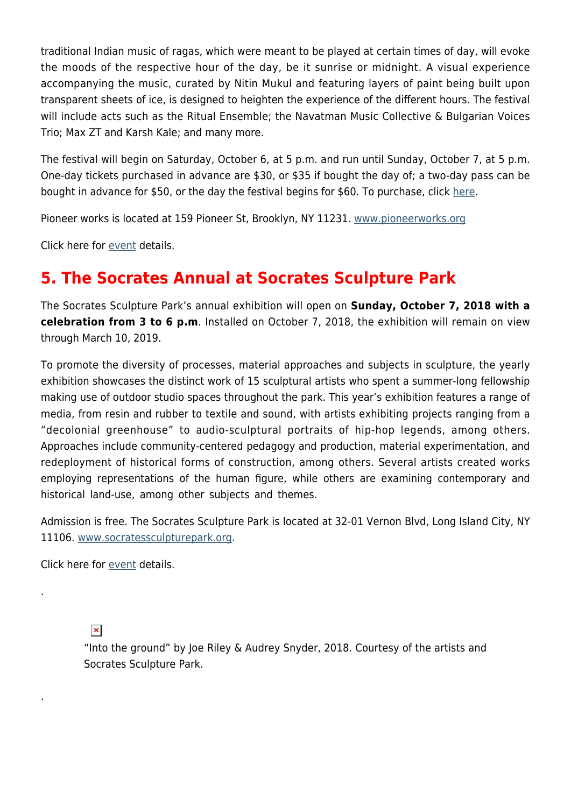traditional Indian music of ragas, which were meant to be played at certain times of day, will evoke the moods of the respective hour of the day, be it sunrise or midnight. A visual experience accompanying the music, curated by Nitin Mukul and featuring layers of paint being built upon transparent sheets of ice, is designed to heighten the experience of the different hours. The festival will include acts such as the Ritual Ensemble; the Navatman Music Collective & Bulgarian Voices Trio; Max ZT and Karsh Kale; and many more.

The festival will begin on Saturday, October 6, at 5 p.m. and run until Sunday, October 7, at 5 p.m. One-day tickets purchased in advance are \$30, or \$35 if bought the day of; a two-day pass can be bought in advance for \$50, or the day the festival begins for \$60. To purchase, click [here](https://store.pioneerworks.org/products/ragas-live-festival-2018?_ga=2.33885409.1924440056.1538077824-57550130.1535681307).

Pioneer works is located at 159 Pioneer St, Brooklyn, NY 11231. [www.pioneerworks.org](https://pioneerworks.org/)

Click here for [event](https://pioneerworks.org/programs/ragas-live-festival-2018/) details.

#### **5. The Socrates Annual at Socrates Sculpture Park**

The Socrates Sculpture Park's annual exhibition will open on **Sunday, October 7, 2018 with a celebration from 3 to 6 p.m**. Installed on October 7, 2018, the exhibition will remain on view through March 10, 2019.

To promote the diversity of processes, material approaches and subjects in sculpture, the yearly exhibition showcases the distinct work of 15 sculptural artists who spent a summer-long fellowship making use of outdoor studio spaces throughout the park. This year's exhibition features a range of media, from resin and rubber to textile and sound, with artists exhibiting projects ranging from a "decolonial greenhouse" to audio-sculptural portraits of hip-hop legends, among others. Approaches include community-centered pedagogy and production, material experimentation, and redeployment of historical forms of construction, among others. Several artists created works employing representations of the human figure, while others are examining contemporary and historical land-use, among other subjects and themes.

Admission is free. The Socrates Sculpture Park is located at 32-01 Vernon Blvd, Long Island City, NY 11106. [www.socratessculpturepark.org.](http://www.socratessculpturepark.org)

Click here for [event](http://socratessculpturepark.org/exhibition/the-socrates-annual-2018/) details.

 $\pmb{\times}$ 

.

.

"Into the ground" by Joe Riley & Audrey Snyder, 2018. Courtesy of the artists and Socrates Sculpture Park.